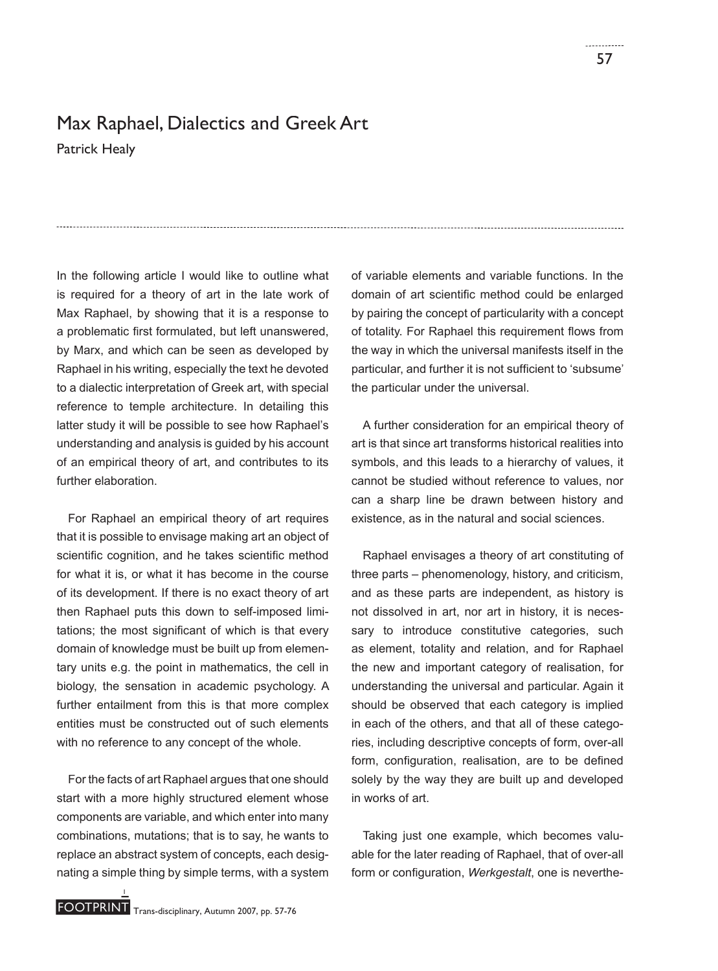## Max Raphael, Dialectics and Greek Art

Patrick Healy

In the following article I would like to outline what is required for a theory of art in the late work of Max Raphael, by showing that it is a response to a problematic first formulated, but left unanswered, by Marx, and which can be seen as developed by Raphael in his writing, especially the text he devoted to a dialectic interpretation of Greek art, with special reference to temple architecture. In detailing this latter study it will be possible to see how Raphael's understanding and analysis is guided by his account of an empirical theory of art, and contributes to its further elaboration.

For Raphael an empirical theory of art requires that it is possible to envisage making art an object of scientific cognition, and he takes scientific method for what it is, or what it has become in the course of its development. If there is no exact theory of art then Raphael puts this down to self-imposed limitations; the most significant of which is that every domain of knowledge must be built up from elementary units e.g. the point in mathematics, the cell in biology, the sensation in academic psychology. A further entailment from this is that more complex entities must be constructed out of such elements with no reference to any concept of the whole.

For the facts of art Raphael argues that one should start with a more highly structured element whose components are variable, and which enter into many combinations, mutations; that is to say, he wants to replace an abstract system of concepts, each designating a simple thing by simple terms, with a system of variable elements and variable functions. In the domain of art scientific method could be enlarged by pairing the concept of particularity with a concept of totality. For Raphael this requirement flows from the way in which the universal manifests itself in the particular, and further it is not sufficient to 'subsume' the particular under the universal.

A further consideration for an empirical theory of art is that since art transforms historical realities into symbols, and this leads to a hierarchy of values, it cannot be studied without reference to values, nor can a sharp line be drawn between history and existence, as in the natural and social sciences.

Raphael envisages a theory of art constituting of three parts – phenomenology, history, and criticism, and as these parts are independent, as history is not dissolved in art, nor art in history, it is necessary to introduce constitutive categories, such as element, totality and relation, and for Raphael the new and important category of realisation, for understanding the universal and particular. Again it should be observed that each category is implied in each of the others, and that all of these categories, including descriptive concepts of form, over-all form, configuration, realisation, are to be defined solely by the way they are built up and developed in works of art.

Taking just one example, which becomes valuable for the later reading of Raphael, that of over-all form or configuration, Werkgestalt, one is neverthe-

1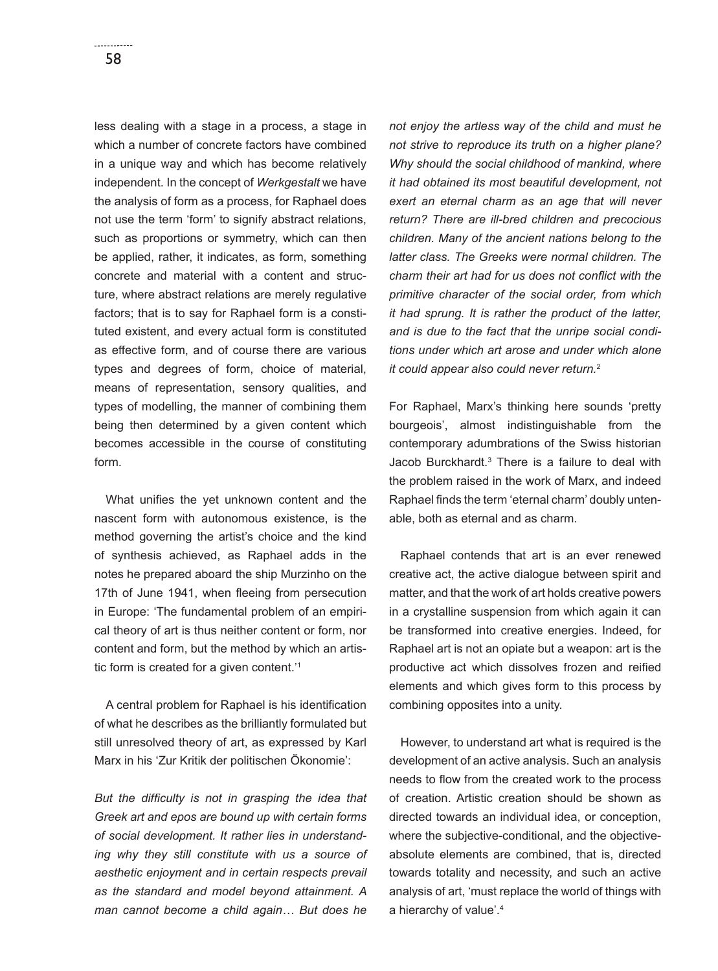less dealing with a stage in a process, a stage in which a number of concrete factors have combined in a unique way and which has become relatively independent. In the concept of *Werkgestalt* we have the analysis of form as a process, for Raphael does not use the term 'form' to signify abstract relations, such as proportions or symmetry, which can then be applied, rather, it indicates, as form, something concrete and material with a content and structure, where abstract relations are merely regulative factors; that is to say for Raphael form is a constituted existent, and every actual form is constituted as effective form, and of course there are various types and degrees of form, choice of material, means of representation, sensory qualities, and types of modelling, the manner of combining them being then determined by a given content which becomes accessible in the course of constituting form.

What unifies the yet unknown content and the nascent form with autonomous existence, is the method governing the artist's choice and the kind of synthesis achieved, as Raphael adds in the notes he prepared aboard the ship Murzinho on the 17th of June 1941, when fleeing from persecution in Europe: 'The fundamental problem of an empirical theory of art is thus neither content or form, nor content and form, but the method by which an artistic form is created for a given content.'1

A central problem for Raphael is his identification of what he describes as the brilliantly formulated but still unresolved theory of art, as expressed by Karl Marx in his 'Zur Kritik der politischen Ökonomie':

But the difficulty is not in grasping the idea that *Greek art and epos are bound up with certain forms of social development. It rather lies in understanding why they still constitute with us a source of aesthetic enjoyment and in certain respects prevail as the standard and model beyond attainment. A man cannot become a child again… But does he* 

*not enjoy the artless way of the child and must he not strive to reproduce its truth on a higher plane? Why should the social childhood of mankind, where it had obtained its most beautiful development, not exert an eternal charm as an age that will never return? There are ill-bred children and precocious children. Many of the ancient nations belong to the latter class. The Greeks were normal children. The charm their art had for us does not conflict with the primitive character of the social order, from which it had sprung. It is rather the product of the latter, and is due to the fact that the unripe social conditions under which art arose and under which alone it could appear also could never return.*<sup>2</sup>

For Raphael, Marx's thinking here sounds 'pretty bourgeois', almost indistinguishable from the contemporary adumbrations of the Swiss historian Jacob Burckhardt.3 There is a failure to deal with the problem raised in the work of Marx, and indeed Raphael finds the term 'eternal charm' doubly untenable, both as eternal and as charm.

Raphael contends that art is an ever renewed creative act, the active dialogue between spirit and matter, and that the work of art holds creative powers in a crystalline suspension from which again it can be transformed into creative energies. Indeed, for Raphael art is not an opiate but a weapon: art is the productive act which dissolves frozen and reified elements and which gives form to this process by combining opposites into a unity.

However, to understand art what is required is the development of an active analysis. Such an analysis needs to flow from the created work to the process of creation. Artistic creation should be shown as directed towards an individual idea, or conception, where the subjective-conditional, and the objectiveabsolute elements are combined, that is, directed towards totality and necessity, and such an active analysis of art, 'must replace the world of things with a hierarchy of value'.4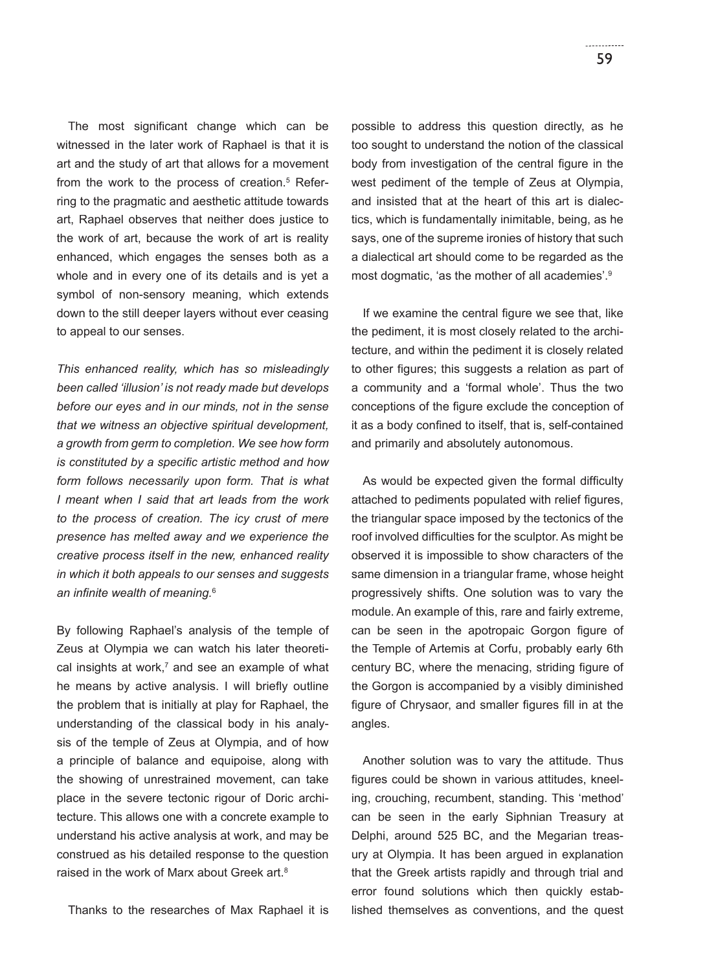The most significant change which can be witnessed in the later work of Raphael is that it is art and the study of art that allows for a movement from the work to the process of creation.<sup>5</sup> Referring to the pragmatic and aesthetic attitude towards art, Raphael observes that neither does justice to the work of art, because the work of art is reality enhanced, which engages the senses both as a whole and in every one of its details and is yet a symbol of non-sensory meaning, which extends down to the still deeper layers without ever ceasing to appeal to our senses.

*This enhanced reality, which has so misleadingly been called 'illusion' is not ready made but develops before our eyes and in our minds, not in the sense that we witness an objective spiritual development, a growth from germ to completion. We see how form is constituted by a specific artistic method and how form follows necessarily upon form. That is what I meant when I said that art leads from the work to the process of creation. The icy crust of mere presence has melted away and we experience the creative process itself in the new, enhanced reality in which it both appeals to our senses and suggests*  an infinite wealth of meaning.<sup>6</sup>

By following Raphael's analysis of the temple of Zeus at Olympia we can watch his later theoretical insights at work,<sup>7</sup> and see an example of what he means by active analysis. I will briefly outline the problem that is initially at play for Raphael, the understanding of the classical body in his analysis of the temple of Zeus at Olympia, and of how a principle of balance and equipoise, along with the showing of unrestrained movement, can take place in the severe tectonic rigour of Doric architecture. This allows one with a concrete example to understand his active analysis at work, and may be construed as his detailed response to the question raised in the work of Marx about Greek art.<sup>8</sup>

Thanks to the researches of Max Raphael it is

possible to address this question directly, as he too sought to understand the notion of the classical body from investigation of the central figure in the west pediment of the temple of Zeus at Olympia, and insisted that at the heart of this art is dialectics, which is fundamentally inimitable, being, as he says, one of the supreme ironies of history that such a dialectical art should come to be regarded as the most dogmatic, 'as the mother of all academies'.9

If we examine the central figure we see that, like the pediment, it is most closely related to the architecture, and within the pediment it is closely related to other figures; this suggests a relation as part of a community and a 'formal whole'. Thus the two conceptions of the figure exclude the conception of it as a body confined to itself, that is, self-contained and primarily and absolutely autonomous.

As would be expected given the formal difficulty attached to pediments populated with relief figures, the triangular space imposed by the tectonics of the roof involved difficulties for the sculptor. As might be observed it is impossible to show characters of the same dimension in a triangular frame, whose height progressively shifts. One solution was to vary the module. An example of this, rare and fairly extreme, can be seen in the apotropaic Gorgon figure of the Temple of Artemis at Corfu, probably early 6th century BC, where the menacing, striding figure of the Gorgon is accompanied by a visibly diminished figure of Chrysaor, and smaller figures fill in at the angles.

Another solution was to vary the attitude. Thus figures could be shown in various attitudes, kneeling, crouching, recumbent, standing. This 'method' can be seen in the early Siphnian Treasury at Delphi, around 525 BC, and the Megarian treasury at Olympia. It has been argued in explanation that the Greek artists rapidly and through trial and error found solutions which then quickly established themselves as conventions, and the quest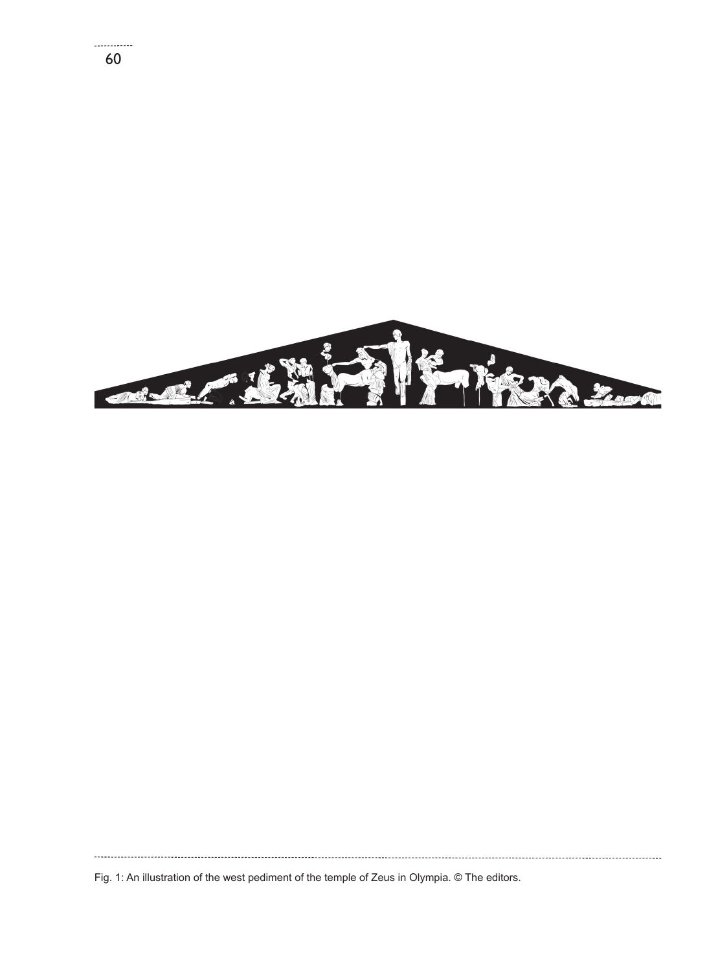

Fig. 1: An illustration of the west pediment of the temple of Zeus in Olympia. © The editors.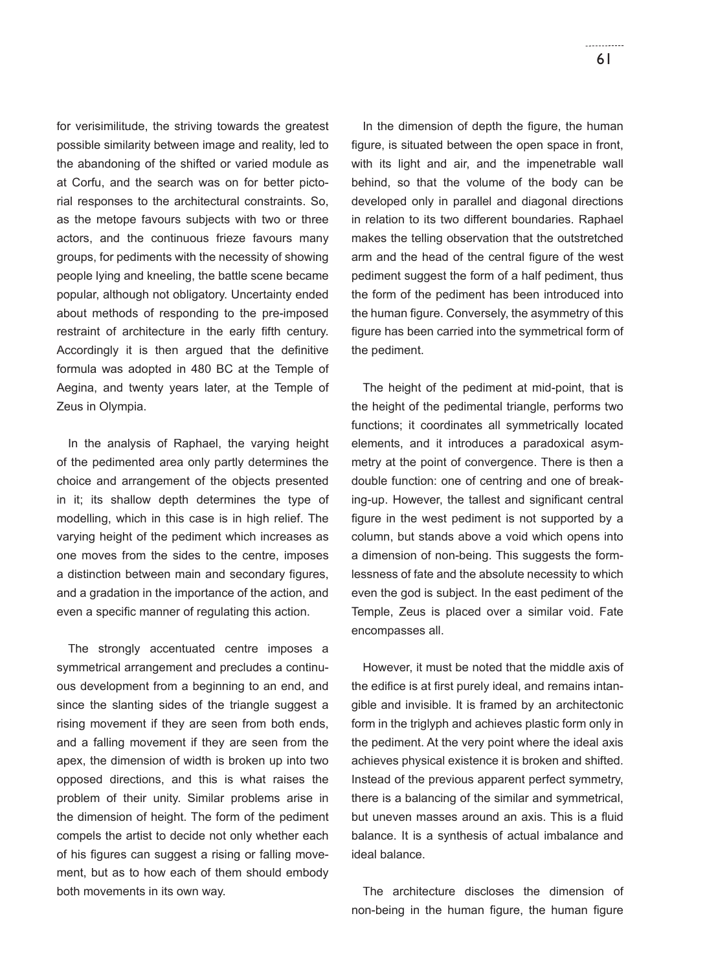**Contractor** 61

for verisimilitude, the striving towards the greatest possible similarity between image and reality, led to the abandoning of the shifted or varied module as at Corfu, and the search was on for better pictorial responses to the architectural constraints. So, as the metope favours subjects with two or three actors, and the continuous frieze favours many groups, for pediments with the necessity of showing people lying and kneeling, the battle scene became popular, although not obligatory. Uncertainty ended about methods of responding to the pre-imposed restraint of architecture in the early fifth century. Accordingly it is then argued that the definitive formula was adopted in 480 BC at the Temple of Aegina, and twenty years later, at the Temple of Zeus in Olympia.

In the analysis of Raphael, the varying height of the pedimented area only partly determines the choice and arrangement of the objects presented in it; its shallow depth determines the type of modelling, which in this case is in high relief. The varying height of the pediment which increases as one moves from the sides to the centre, imposes a distinction between main and secondary figures, and a gradation in the importance of the action, and even a specific manner of regulating this action.

The strongly accentuated centre imposes a symmetrical arrangement and precludes a continuous development from a beginning to an end, and since the slanting sides of the triangle suggest a rising movement if they are seen from both ends, and a falling movement if they are seen from the apex, the dimension of width is broken up into two opposed directions, and this is what raises the problem of their unity. Similar problems arise in the dimension of height. The form of the pediment compels the artist to decide not only whether each of his figures can suggest a rising or falling movement, but as to how each of them should embody both movements in its own way.

In the dimension of depth the figure, the human figure, is situated between the open space in front. with its light and air, and the impenetrable wall behind, so that the volume of the body can be developed only in parallel and diagonal directions in relation to its two different boundaries. Raphael makes the telling observation that the outstretched arm and the head of the central figure of the west pediment suggest the form of a half pediment, thus the form of the pediment has been introduced into the human figure. Conversely, the asymmetry of this figure has been carried into the symmetrical form of the pediment.

The height of the pediment at mid-point, that is the height of the pedimental triangle, performs two functions; it coordinates all symmetrically located elements, and it introduces a paradoxical asymmetry at the point of convergence. There is then a double function: one of centring and one of breaking-up. However, the tallest and significant central figure in the west pediment is not supported by a column, but stands above a void which opens into a dimension of non-being. This suggests the formlessness of fate and the absolute necessity to which even the god is subject. In the east pediment of the Temple, Zeus is placed over a similar void. Fate encompasses all.

However, it must be noted that the middle axis of the edifice is at first purely ideal, and remains intangible and invisible. It is framed by an architectonic form in the triglyph and achieves plastic form only in the pediment. At the very point where the ideal axis achieves physical existence it is broken and shifted. Instead of the previous apparent perfect symmetry, there is a balancing of the similar and symmetrical, but uneven masses around an axis. This is a fluid balance. It is a synthesis of actual imbalance and ideal balance.

The architecture discloses the dimension of non-being in the human figure, the human figure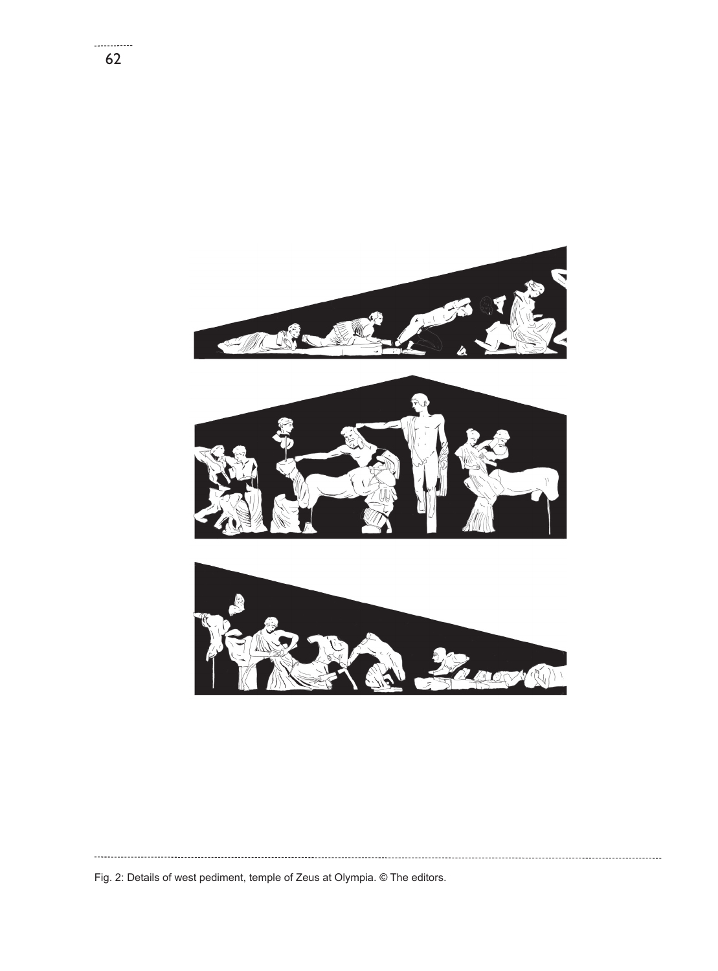

Fig. 2: Details of west pediment, temple of Zeus at Olympia. © The editors.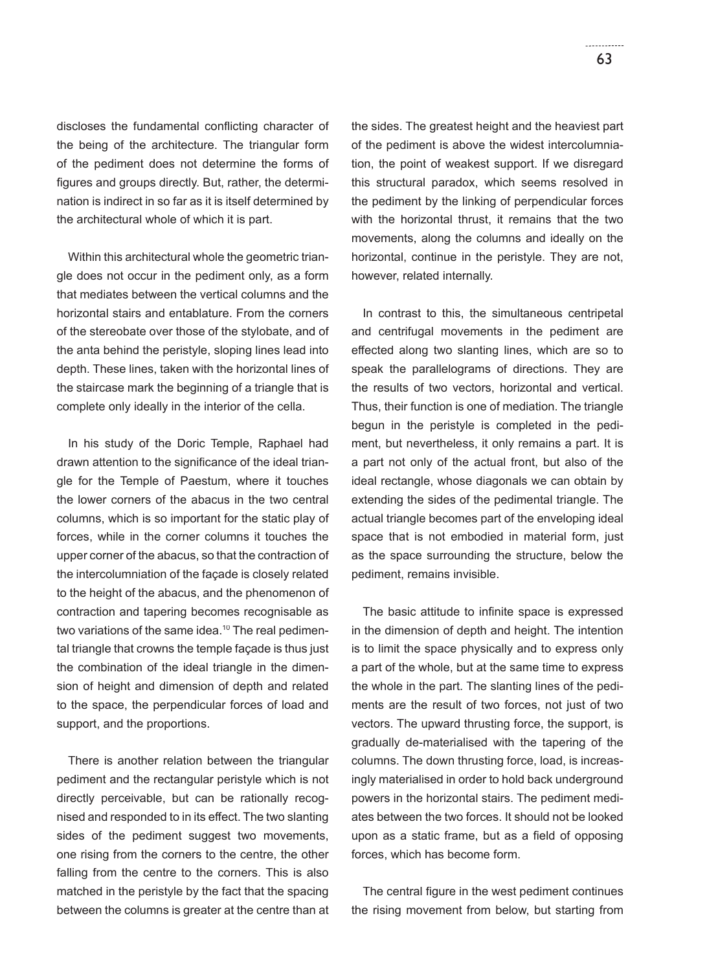discloses the fundamental conflicting character of the being of the architecture. The triangular form of the pediment does not determine the forms of figures and groups directly. But, rather, the determination is indirect in so far as it is itself determined by the architectural whole of which it is part.

Within this architectural whole the geometric triangle does not occur in the pediment only, as a form that mediates between the vertical columns and the horizontal stairs and entablature. From the corners of the stereobate over those of the stylobate, and of the anta behind the peristyle, sloping lines lead into depth. These lines, taken with the horizontal lines of the staircase mark the beginning of a triangle that is complete only ideally in the interior of the cella.

In his study of the Doric Temple, Raphael had drawn attention to the significance of the ideal triangle for the Temple of Paestum, where it touches the lower corners of the abacus in the two central columns, which is so important for the static play of forces, while in the corner columns it touches the upper corner of the abacus, so that the contraction of the intercolumniation of the façade is closely related to the height of the abacus, and the phenomenon of contraction and tapering becomes recognisable as two variations of the same idea.<sup>10</sup> The real pedimental triangle that crowns the temple façade is thus just the combination of the ideal triangle in the dimension of height and dimension of depth and related to the space, the perpendicular forces of load and support, and the proportions.

There is another relation between the triangular pediment and the rectangular peristyle which is not directly perceivable, but can be rationally recognised and responded to in its effect. The two slanting sides of the pediment suggest two movements, one rising from the corners to the centre, the other falling from the centre to the corners. This is also matched in the peristyle by the fact that the spacing between the columns is greater at the centre than at the sides. The greatest height and the heaviest part of the pediment is above the widest intercolumniation, the point of weakest support. If we disregard this structural paradox, which seems resolved in the pediment by the linking of perpendicular forces with the horizontal thrust, it remains that the two movements, along the columns and ideally on the horizontal, continue in the peristyle. They are not, however, related internally.

In contrast to this, the simultaneous centripetal and centrifugal movements in the pediment are effected along two slanting lines, which are so to speak the parallelograms of directions. They are the results of two vectors, horizontal and vertical. Thus, their function is one of mediation. The triangle begun in the peristyle is completed in the pediment, but nevertheless, it only remains a part. It is a part not only of the actual front, but also of the ideal rectangle, whose diagonals we can obtain by extending the sides of the pedimental triangle. The actual triangle becomes part of the enveloping ideal space that is not embodied in material form, just as the space surrounding the structure, below the pediment, remains invisible.

The basic attitude to infinite space is expressed in the dimension of depth and height. The intention is to limit the space physically and to express only a part of the whole, but at the same time to express the whole in the part. The slanting lines of the pediments are the result of two forces, not just of two vectors. The upward thrusting force, the support, is gradually de-materialised with the tapering of the columns. The down thrusting force, load, is increasingly materialised in order to hold back underground powers in the horizontal stairs. The pediment mediates between the two forces. It should not be looked upon as a static frame, but as a field of opposing forces, which has become form.

The central figure in the west pediment continues the rising movement from below, but starting from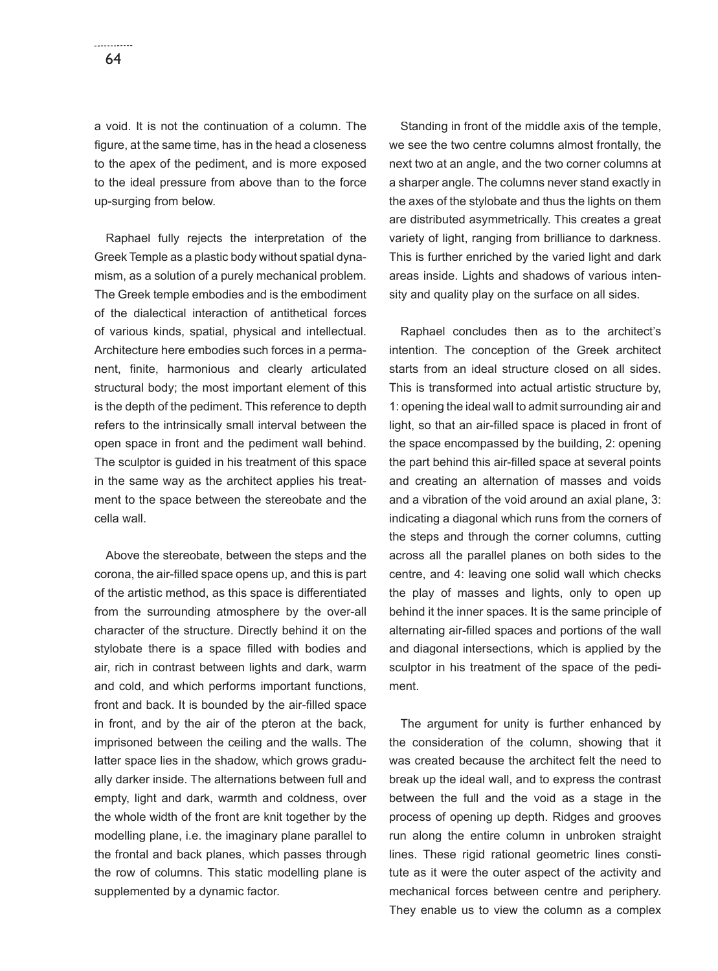a void. It is not the continuation of a column. The figure, at the same time, has in the head a closeness to the apex of the pediment, and is more exposed to the ideal pressure from above than to the force up-surging from below.

Raphael fully rejects the interpretation of the Greek Temple as a plastic body without spatial dynamism, as a solution of a purely mechanical problem. The Greek temple embodies and is the embodiment of the dialectical interaction of antithetical forces of various kinds, spatial, physical and intellectual. Architecture here embodies such forces in a permanent, finite, harmonious and clearly articulated structural body; the most important element of this is the depth of the pediment. This reference to depth refers to the intrinsically small interval between the open space in front and the pediment wall behind. The sculptor is guided in his treatment of this space in the same way as the architect applies his treatment to the space between the stereobate and the cella wall.

Above the stereobate, between the steps and the corona, the air-filled space opens up, and this is part of the artistic method, as this space is differentiated from the surrounding atmosphere by the over-all character of the structure. Directly behind it on the stylobate there is a space filled with bodies and air, rich in contrast between lights and dark, warm and cold, and which performs important functions, front and back. It is bounded by the air-filled space in front, and by the air of the pteron at the back, imprisoned between the ceiling and the walls. The latter space lies in the shadow, which grows gradually darker inside. The alternations between full and empty, light and dark, warmth and coldness, over the whole width of the front are knit together by the modelling plane, i.e. the imaginary plane parallel to the frontal and back planes, which passes through the row of columns. This static modelling plane is supplemented by a dynamic factor.

Standing in front of the middle axis of the temple, we see the two centre columns almost frontally, the next two at an angle, and the two corner columns at a sharper angle. The columns never stand exactly in the axes of the stylobate and thus the lights on them are distributed asymmetrically. This creates a great variety of light, ranging from brilliance to darkness. This is further enriched by the varied light and dark areas inside. Lights and shadows of various intensity and quality play on the surface on all sides.

Raphael concludes then as to the architect's intention. The conception of the Greek architect starts from an ideal structure closed on all sides. This is transformed into actual artistic structure by, 1: opening the ideal wall to admit surrounding air and light, so that an air-filled space is placed in front of the space encompassed by the building, 2: opening the part behind this air-filled space at several points and creating an alternation of masses and voids and a vibration of the void around an axial plane, 3: indicating a diagonal which runs from the corners of the steps and through the corner columns, cutting across all the parallel planes on both sides to the centre, and 4: leaving one solid wall which checks the play of masses and lights, only to open up behind it the inner spaces. It is the same principle of alternating air-filled spaces and portions of the wall and diagonal intersections, which is applied by the sculptor in his treatment of the space of the pediment.

The argument for unity is further enhanced by the consideration of the column, showing that it was created because the architect felt the need to break up the ideal wall, and to express the contrast between the full and the void as a stage in the process of opening up depth. Ridges and grooves run along the entire column in unbroken straight lines. These rigid rational geometric lines constitute as it were the outer aspect of the activity and mechanical forces between centre and periphery. They enable us to view the column as a complex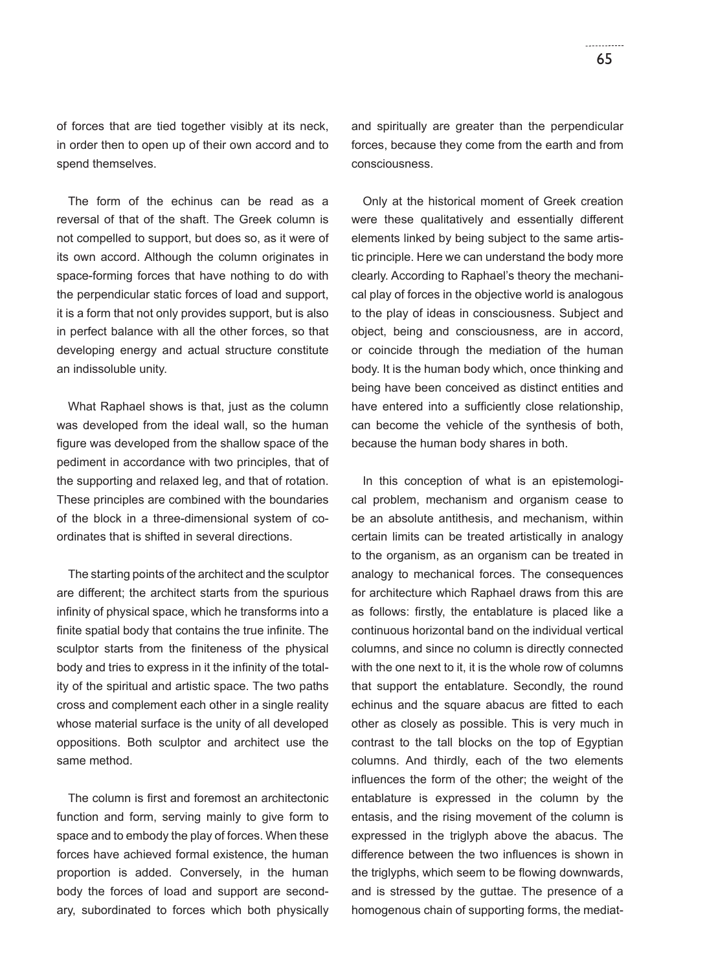of forces that are tied together visibly at its neck, in order then to open up of their own accord and to spend themselves.

The form of the echinus can be read as a reversal of that of the shaft. The Greek column is not compelled to support, but does so, as it were of its own accord. Although the column originates in space-forming forces that have nothing to do with the perpendicular static forces of load and support, it is a form that not only provides support, but is also in perfect balance with all the other forces, so that developing energy and actual structure constitute an indissoluble unity.

What Raphael shows is that, just as the column was developed from the ideal wall, so the human figure was developed from the shallow space of the pediment in accordance with two principles, that of the supporting and relaxed leg, and that of rotation. These principles are combined with the boundaries of the block in a three-dimensional system of coordinates that is shifted in several directions.

The starting points of the architect and the sculptor are different; the architect starts from the spurious infinity of physical space, which he transforms into a finite spatial body that contains the true infinite. The sculptor starts from the finiteness of the physical body and tries to express in it the infinity of the totality of the spiritual and artistic space. The two paths cross and complement each other in a single reality whose material surface is the unity of all developed oppositions. Both sculptor and architect use the same method.

The column is first and foremost an architectonic function and form, serving mainly to give form to space and to embody the play of forces. When these forces have achieved formal existence, the human proportion is added. Conversely, in the human body the forces of load and support are secondary, subordinated to forces which both physically and spiritually are greater than the perpendicular forces, because they come from the earth and from consciousness.

Only at the historical moment of Greek creation were these qualitatively and essentially different elements linked by being subject to the same artistic principle. Here we can understand the body more clearly. According to Raphael's theory the mechanical play of forces in the objective world is analogous to the play of ideas in consciousness. Subject and object, being and consciousness, are in accord, or coincide through the mediation of the human body. It is the human body which, once thinking and being have been conceived as distinct entities and have entered into a sufficiently close relationship, can become the vehicle of the synthesis of both, because the human body shares in both.

In this conception of what is an epistemological problem, mechanism and organism cease to be an absolute antithesis, and mechanism, within certain limits can be treated artistically in analogy to the organism, as an organism can be treated in analogy to mechanical forces. The consequences for architecture which Raphael draws from this are as follows: firstly, the entablature is placed like a continuous horizontal band on the individual vertical columns, and since no column is directly connected with the one next to it, it is the whole row of columns that support the entablature. Secondly, the round echinus and the square abacus are fitted to each other as closely as possible. This is very much in contrast to the tall blocks on the top of Egyptian columns. And thirdly, each of the two elements influences the form of the other; the weight of the entablature is expressed in the column by the entasis, and the rising movement of the column is expressed in the triglyph above the abacus. The difference between the two influences is shown in the triglyphs, which seem to be flowing downwards, and is stressed by the guttae. The presence of a homogenous chain of supporting forms, the mediat-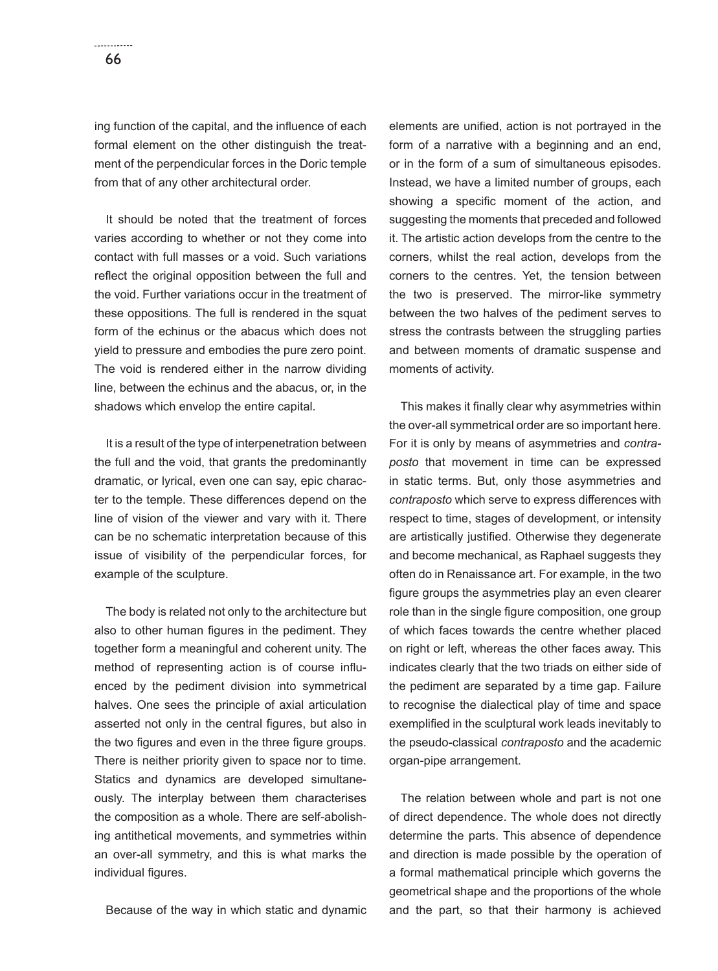ing function of the capital, and the influence of each formal element on the other distinguish the treatment of the perpendicular forces in the Doric temple from that of any other architectural order.

It should be noted that the treatment of forces varies according to whether or not they come into contact with full masses or a void. Such variations reflect the original opposition between the full and the void. Further variations occur in the treatment of these oppositions. The full is rendered in the squat form of the echinus or the abacus which does not yield to pressure and embodies the pure zero point. The void is rendered either in the narrow dividing line, between the echinus and the abacus, or, in the shadows which envelop the entire capital.

It is a result of the type of interpenetration between the full and the void, that grants the predominantly dramatic, or lyrical, even one can say, epic character to the temple. These differences depend on the line of vision of the viewer and vary with it. There can be no schematic interpretation because of this issue of visibility of the perpendicular forces, for example of the sculpture.

The body is related not only to the architecture but also to other human figures in the pediment. They together form a meaningful and coherent unity. The method of representing action is of course influenced by the pediment division into symmetrical halves. One sees the principle of axial articulation asserted not only in the central figures, but also in the two figures and even in the three figure groups. There is neither priority given to space nor to time. Statics and dynamics are developed simultaneously. The interplay between them characterises the composition as a whole. There are self-abolishing antithetical movements, and symmetries within an over-all symmetry, and this is what marks the individual figures.

Because of the way in which static and dynamic

elements are unified, action is not portrayed in the form of a narrative with a beginning and an end, or in the form of a sum of simultaneous episodes. Instead, we have a limited number of groups, each showing a specific moment of the action, and suggesting the moments that preceded and followed it. The artistic action develops from the centre to the corners, whilst the real action, develops from the corners to the centres. Yet, the tension between the two is preserved. The mirror-like symmetry between the two halves of the pediment serves to stress the contrasts between the struggling parties and between moments of dramatic suspense and moments of activity.

This makes it finally clear why asymmetries within the over-all symmetrical order are so important here. For it is only by means of asymmetries and *contraposto* that movement in time can be expressed in static terms. But, only those asymmetries and *contraposto* which serve to express differences with respect to time, stages of development, or intensity are artistically justified. Otherwise they degenerate and become mechanical, as Raphael suggests they often do in Renaissance art. For example, in the two figure groups the asymmetries play an even clearer role than in the single figure composition, one group of which faces towards the centre whether placed on right or left, whereas the other faces away. This indicates clearly that the two triads on either side of the pediment are separated by a time gap. Failure to recognise the dialectical play of time and space exemplified in the sculptural work leads inevitably to the pseudo-classical *contraposto* and the academic organ-pipe arrangement.

The relation between whole and part is not one of direct dependence. The whole does not directly determine the parts. This absence of dependence and direction is made possible by the operation of a formal mathematical principle which governs the geometrical shape and the proportions of the whole and the part, so that their harmony is achieved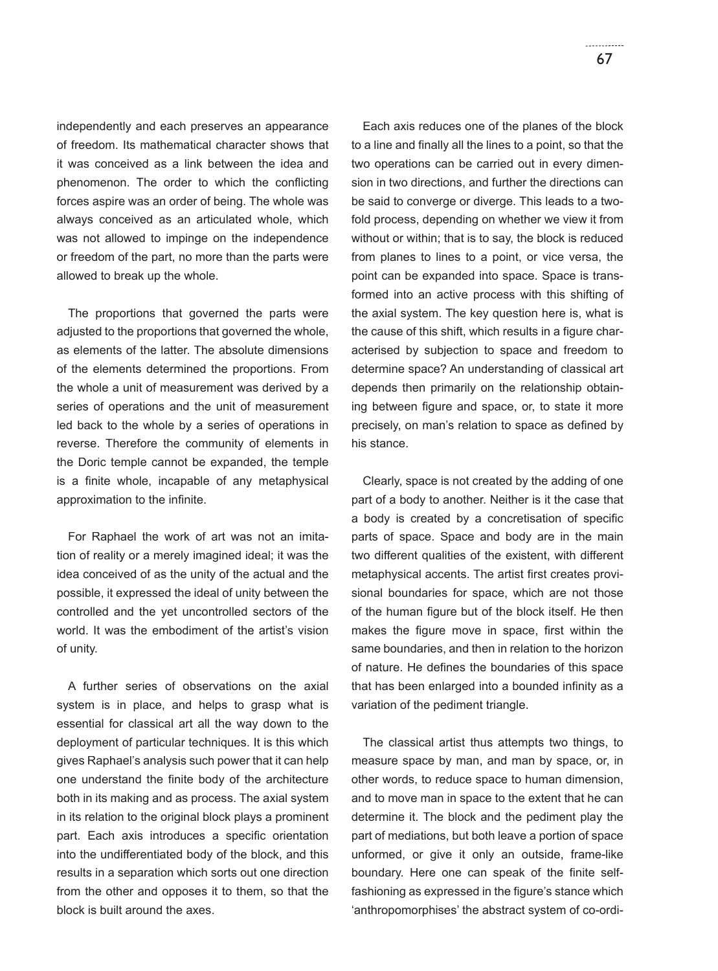independently and each preserves an appearance of freedom. Its mathematical character shows that it was conceived as a link between the idea and phenomenon. The order to which the conflicting forces aspire was an order of being. The whole was always conceived as an articulated whole, which was not allowed to impinge on the independence or freedom of the part, no more than the parts were allowed to break up the whole.

The proportions that governed the parts were adjusted to the proportions that governed the whole, as elements of the latter. The absolute dimensions of the elements determined the proportions. From the whole a unit of measurement was derived by a series of operations and the unit of measurement led back to the whole by a series of operations in reverse. Therefore the community of elements in the Doric temple cannot be expanded, the temple is a finite whole, incapable of any metaphysical approximation to the infinite.

For Raphael the work of art was not an imitation of reality or a merely imagined ideal; it was the idea conceived of as the unity of the actual and the possible, it expressed the ideal of unity between the controlled and the yet uncontrolled sectors of the world. It was the embodiment of the artist's vision of unity.

A further series of observations on the axial system is in place, and helps to grasp what is essential for classical art all the way down to the deployment of particular techniques. It is this which gives Raphael's analysis such power that it can help one understand the finite body of the architecture both in its making and as process. The axial system in its relation to the original block plays a prominent part. Each axis introduces a specific orientation into the undifferentiated body of the block, and this results in a separation which sorts out one direction from the other and opposes it to them, so that the block is built around the axes.

Each axis reduces one of the planes of the block to a line and finally all the lines to a point, so that the two operations can be carried out in every dimension in two directions, and further the directions can be said to converge or diverge. This leads to a twofold process, depending on whether we view it from without or within; that is to say, the block is reduced from planes to lines to a point, or vice versa, the point can be expanded into space. Space is transformed into an active process with this shifting of the axial system. The key question here is, what is the cause of this shift, which results in a figure characterised by subjection to space and freedom to determine space? An understanding of classical art depends then primarily on the relationship obtaining between figure and space, or, to state it more precisely, on man's relation to space as defined by his stance.

Clearly, space is not created by the adding of one part of a body to another. Neither is it the case that a body is created by a concretisation of specific parts of space. Space and body are in the main two different qualities of the existent, with different metaphysical accents. The artist first creates provisional boundaries for space, which are not those of the human figure but of the block itself. He then makes the figure move in space, first within the same boundaries, and then in relation to the horizon of nature. He defines the boundaries of this space that has been enlarged into a bounded infinity as a variation of the pediment triangle.

The classical artist thus attempts two things, to measure space by man, and man by space, or, in other words, to reduce space to human dimension, and to move man in space to the extent that he can determine it. The block and the pediment play the part of mediations, but both leave a portion of space unformed, or give it only an outside, frame-like boundary. Here one can speak of the finite selffashioning as expressed in the figure's stance which 'anthropomorphises' the abstract system of co-ordi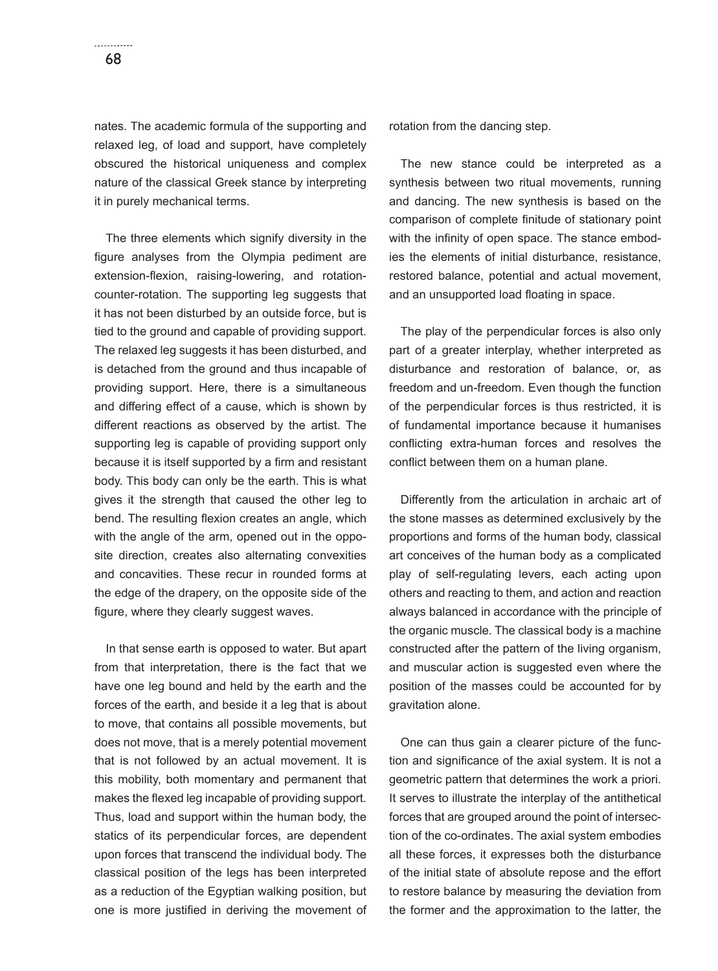nates. The academic formula of the supporting and relaxed leg, of load and support, have completely obscured the historical uniqueness and complex nature of the classical Greek stance by interpreting it in purely mechanical terms.

The three elements which signify diversity in the figure analyses from the Olympia pediment are extension-flexion, raising-lowering, and rotationcounter-rotation. The supporting leg suggests that it has not been disturbed by an outside force, but is tied to the ground and capable of providing support. The relaxed leg suggests it has been disturbed, and is detached from the ground and thus incapable of providing support. Here, there is a simultaneous and differing effect of a cause, which is shown by different reactions as observed by the artist. The supporting leg is capable of providing support only because it is itself supported by a firm and resistant body. This body can only be the earth. This is what gives it the strength that caused the other leg to bend. The resulting flexion creates an angle, which with the angle of the arm, opened out in the opposite direction, creates also alternating convexities and concavities. These recur in rounded forms at the edge of the drapery, on the opposite side of the figure, where they clearly suggest waves.

In that sense earth is opposed to water. But apart from that interpretation, there is the fact that we have one leg bound and held by the earth and the forces of the earth, and beside it a leg that is about to move, that contains all possible movements, but does not move, that is a merely potential movement that is not followed by an actual movement. It is this mobility, both momentary and permanent that makes the flexed leg incapable of providing support. Thus, load and support within the human body, the statics of its perpendicular forces, are dependent upon forces that transcend the individual body. The classical position of the legs has been interpreted as a reduction of the Egyptian walking position, but one is more justified in deriving the movement of

rotation from the dancing step.

The new stance could be interpreted as a synthesis between two ritual movements, running and dancing. The new synthesis is based on the comparison of complete finitude of stationary point with the infinity of open space. The stance embodies the elements of initial disturbance, resistance, restored balance, potential and actual movement, and an unsupported load floating in space.

The play of the perpendicular forces is also only part of a greater interplay, whether interpreted as disturbance and restoration of balance, or, as freedom and un-freedom. Even though the function of the perpendicular forces is thus restricted, it is of fundamental importance because it humanises conflicting extra-human forces and resolves the conflict between them on a human plane.

Differently from the articulation in archaic art of the stone masses as determined exclusively by the proportions and forms of the human body, classical art conceives of the human body as a complicated play of self-regulating levers, each acting upon others and reacting to them, and action and reaction always balanced in accordance with the principle of the organic muscle. The classical body is a machine constructed after the pattern of the living organism, and muscular action is suggested even where the position of the masses could be accounted for by gravitation alone.

One can thus gain a clearer picture of the function and significance of the axial system. It is not a geometric pattern that determines the work a priori. It serves to illustrate the interplay of the antithetical forces that are grouped around the point of intersection of the co-ordinates. The axial system embodies all these forces, it expresses both the disturbance of the initial state of absolute repose and the effort to restore balance by measuring the deviation from the former and the approximation to the latter, the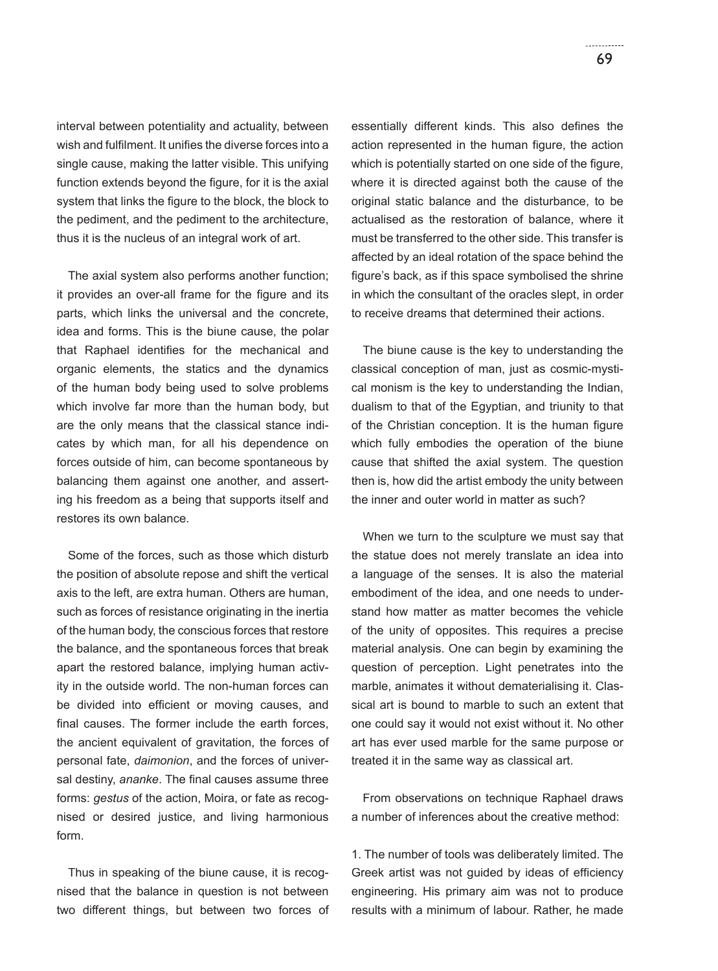interval between potentiality and actuality, between wish and fulfilment. It unifies the diverse forces into a single cause, making the latter visible. This unifying function extends beyond the figure, for it is the axial system that links the figure to the block, the block to the pediment, and the pediment to the architecture, thus it is the nucleus of an integral work of art.

The axial system also performs another function; it provides an over-all frame for the figure and its parts, which links the universal and the concrete, idea and forms. This is the biune cause, the polar that Raphael identifies for the mechanical and organic elements, the statics and the dynamics of the human body being used to solve problems which involve far more than the human body, but are the only means that the classical stance indicates by which man, for all his dependence on forces outside of him, can become spontaneous by balancing them against one another, and asserting his freedom as a being that supports itself and restores its own balance.

Some of the forces, such as those which disturb the position of absolute repose and shift the vertical axis to the left, are extra human. Others are human, such as forces of resistance originating in the inertia of the human body, the conscious forces that restore the balance, and the spontaneous forces that break apart the restored balance, implying human activity in the outside world. The non-human forces can be divided into efficient or moving causes, and final causes. The former include the earth forces, the ancient equivalent of gravitation, the forces of personal fate, *daimonion*, and the forces of universal destiny, *ananke*. The final causes assume three forms: *gestus* of the action, Moira, or fate as recognised or desired justice, and living harmonious form.

Thus in speaking of the biune cause, it is recognised that the balance in question is not between two different things, but between two forces of essentially different kinds. This also defines the action represented in the human figure, the action which is potentially started on one side of the figure, where it is directed against both the cause of the original static balance and the disturbance, to be actualised as the restoration of balance, where it must be transferred to the other side. This transfer is affected by an ideal rotation of the space behind the figure's back, as if this space symbolised the shrine in which the consultant of the oracles slept, in order to receive dreams that determined their actions.

The biune cause is the key to understanding the classical conception of man, just as cosmic-mystical monism is the key to understanding the Indian, dualism to that of the Egyptian, and triunity to that of the Christian conception. It is the human figure which fully embodies the operation of the biune cause that shifted the axial system. The question then is, how did the artist embody the unity between the inner and outer world in matter as such?

When we turn to the sculpture we must say that the statue does not merely translate an idea into a language of the senses. It is also the material embodiment of the idea, and one needs to understand how matter as matter becomes the vehicle of the unity of opposites. This requires a precise material analysis. One can begin by examining the question of perception. Light penetrates into the marble, animates it without dematerialising it. Classical art is bound to marble to such an extent that one could say it would not exist without it. No other art has ever used marble for the same purpose or treated it in the same way as classical art.

From observations on technique Raphael draws a number of inferences about the creative method:

1. The number of tools was deliberately limited. The Greek artist was not guided by ideas of efficiency engineering. His primary aim was not to produce results with a minimum of labour. Rather, he made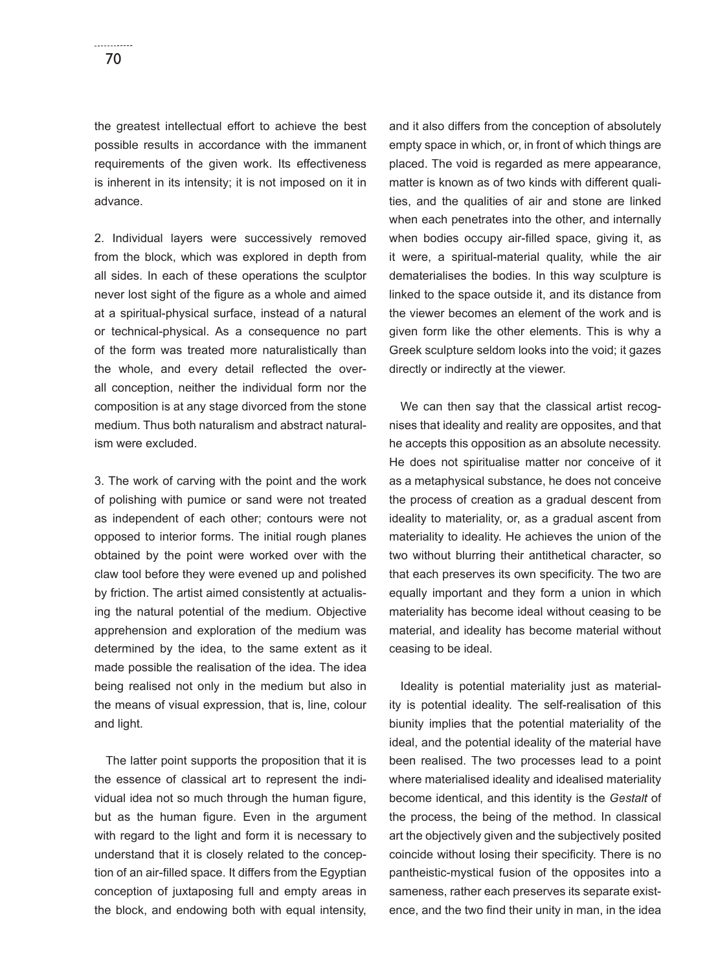the greatest intellectual effort to achieve the best possible results in accordance with the immanent requirements of the given work. Its effectiveness is inherent in its intensity; it is not imposed on it in advance.

2. Individual layers were successively removed from the block, which was explored in depth from all sides. In each of these operations the sculptor never lost sight of the figure as a whole and aimed at a spiritual-physical surface, instead of a natural or technical-physical. As a consequence no part of the form was treated more naturalistically than the whole, and every detail reflected the overall conception, neither the individual form nor the composition is at any stage divorced from the stone medium. Thus both naturalism and abstract naturalism were excluded.

3. The work of carving with the point and the work of polishing with pumice or sand were not treated as independent of each other; contours were not opposed to interior forms. The initial rough planes obtained by the point were worked over with the claw tool before they were evened up and polished by friction. The artist aimed consistently at actualising the natural potential of the medium. Objective apprehension and exploration of the medium was determined by the idea, to the same extent as it made possible the realisation of the idea. The idea being realised not only in the medium but also in the means of visual expression, that is, line, colour and light.

The latter point supports the proposition that it is the essence of classical art to represent the individual idea not so much through the human figure, but as the human figure. Even in the argument with regard to the light and form it is necessary to understand that it is closely related to the conception of an air-filled space. It differs from the Egyptian conception of juxtaposing full and empty areas in the block, and endowing both with equal intensity, and it also differs from the conception of absolutely empty space in which, or, in front of which things are placed. The void is regarded as mere appearance, matter is known as of two kinds with different qualities, and the qualities of air and stone are linked when each penetrates into the other, and internally when bodies occupy air-filled space, giving it, as it were, a spiritual-material quality, while the air dematerialises the bodies. In this way sculpture is linked to the space outside it, and its distance from the viewer becomes an element of the work and is given form like the other elements. This is why a Greek sculpture seldom looks into the void; it gazes directly or indirectly at the viewer.

We can then say that the classical artist recognises that ideality and reality are opposites, and that he accepts this opposition as an absolute necessity. He does not spiritualise matter nor conceive of it as a metaphysical substance, he does not conceive the process of creation as a gradual descent from ideality to materiality, or, as a gradual ascent from materiality to ideality. He achieves the union of the two without blurring their antithetical character, so that each preserves its own specificity. The two are equally important and they form a union in which materiality has become ideal without ceasing to be material, and ideality has become material without ceasing to be ideal.

Ideality is potential materiality just as materiality is potential ideality. The self-realisation of this biunity implies that the potential materiality of the ideal, and the potential ideality of the material have been realised. The two processes lead to a point where materialised ideality and idealised materiality become identical, and this identity is the *Gestalt* of the process, the being of the method. In classical art the objectively given and the subjectively posited coincide without losing their specificity. There is no pantheistic-mystical fusion of the opposites into a sameness, rather each preserves its separate existence, and the two find their unity in man, in the idea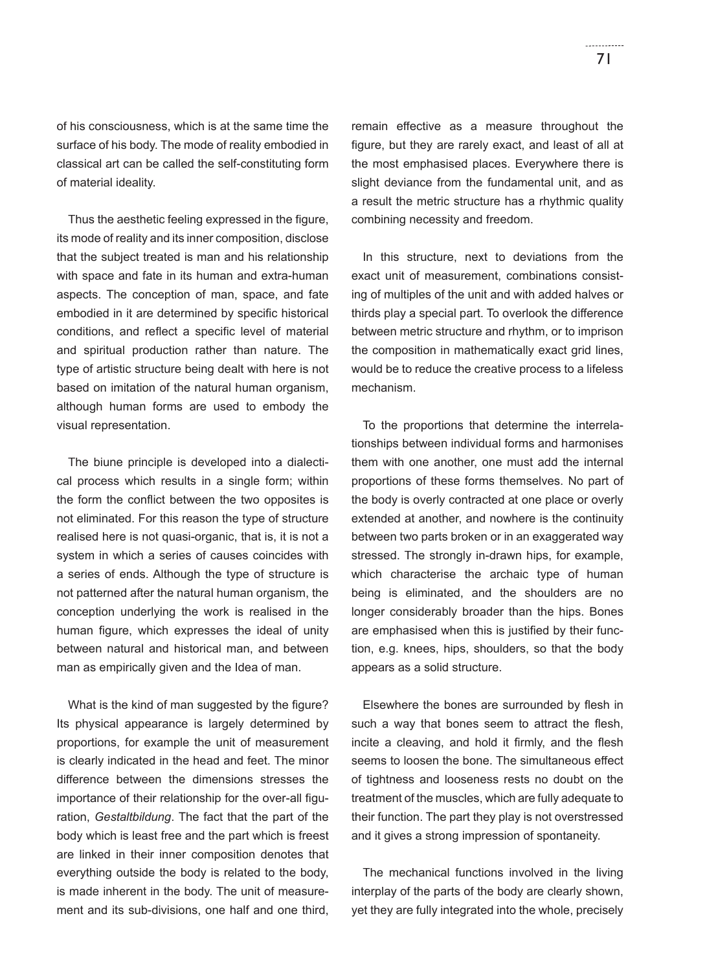of his consciousness, which is at the same time the surface of his body. The mode of reality embodied in classical art can be called the self-constituting form of material ideality.

Thus the aesthetic feeling expressed in the figure, its mode of reality and its inner composition, disclose that the subject treated is man and his relationship with space and fate in its human and extra-human aspects. The conception of man, space, and fate embodied in it are determined by specific historical conditions, and reflect a specific level of material and spiritual production rather than nature. The type of artistic structure being dealt with here is not based on imitation of the natural human organism, although human forms are used to embody the visual representation.

The biune principle is developed into a dialectical process which results in a single form; within the form the conflict between the two opposites is not eliminated. For this reason the type of structure realised here is not quasi-organic, that is, it is not a system in which a series of causes coincides with a series of ends. Although the type of structure is not patterned after the natural human organism, the conception underlying the work is realised in the human figure, which expresses the ideal of unity between natural and historical man, and between man as empirically given and the Idea of man.

What is the kind of man suggested by the figure? Its physical appearance is largely determined by proportions, for example the unit of measurement is clearly indicated in the head and feet. The minor difference between the dimensions stresses the importance of their relationship for the over-all figuration, *Gestaltbildung*. The fact that the part of the body which is least free and the part which is freest are linked in their inner composition denotes that everything outside the body is related to the body, is made inherent in the body. The unit of measurement and its sub-divisions, one half and one third, remain effective as a measure throughout the figure, but they are rarely exact, and least of all at the most emphasised places. Everywhere there is slight deviance from the fundamental unit, and as a result the metric structure has a rhythmic quality combining necessity and freedom.

In this structure, next to deviations from the exact unit of measurement, combinations consisting of multiples of the unit and with added halves or thirds play a special part. To overlook the difference between metric structure and rhythm, or to imprison the composition in mathematically exact grid lines, would be to reduce the creative process to a lifeless mechanism.

To the proportions that determine the interrelationships between individual forms and harmonises them with one another, one must add the internal proportions of these forms themselves. No part of the body is overly contracted at one place or overly extended at another, and nowhere is the continuity between two parts broken or in an exaggerated way stressed. The strongly in-drawn hips, for example, which characterise the archaic type of human being is eliminated, and the shoulders are no longer considerably broader than the hips. Bones are emphasised when this is justified by their function, e.g. knees, hips, shoulders, so that the body appears as a solid structure.

Elsewhere the bones are surrounded by flesh in such a way that bones seem to attract the flesh, incite a cleaving, and hold it firmly, and the flesh seems to loosen the bone. The simultaneous effect of tightness and looseness rests no doubt on the treatment of the muscles, which are fully adequate to their function. The part they play is not overstressed and it gives a strong impression of spontaneity.

The mechanical functions involved in the living interplay of the parts of the body are clearly shown, yet they are fully integrated into the whole, precisely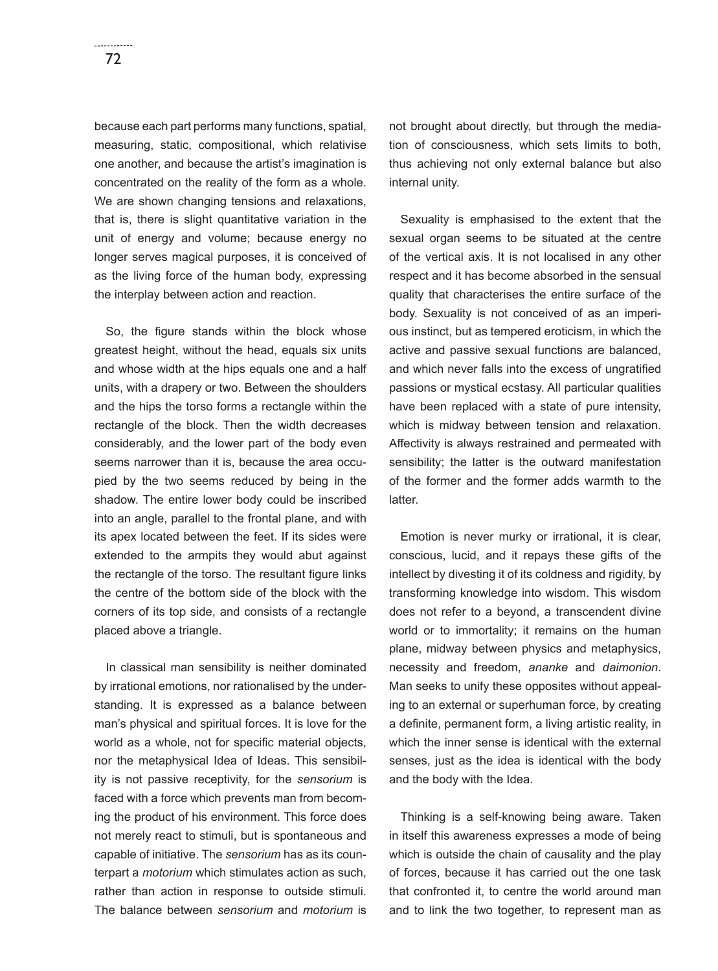because each part performs many functions, spatial, measuring, static, compositional, which relativise one another, and because the artist's imagination is concentrated on the reality of the form as a whole. We are shown changing tensions and relaxations, that is, there is slight quantitative variation in the unit of energy and volume; because energy no longer serves magical purposes, it is conceived of as the living force of the human body, expressing the interplay between action and reaction.

So, the figure stands within the block whose greatest height, without the head, equals six units and whose width at the hips equals one and a half units, with a drapery or two. Between the shoulders and the hips the torso forms a rectangle within the rectangle of the block. Then the width decreases considerably, and the lower part of the body even seems narrower than it is, because the area occupied by the two seems reduced by being in the shadow. The entire lower body could be inscribed into an angle, parallel to the frontal plane, and with its apex located between the feet. If its sides were extended to the armpits they would abut against the rectangle of the torso. The resultant figure links the centre of the bottom side of the block with the corners of its top side, and consists of a rectangle placed above a triangle.

In classical man sensibility is neither dominated by irrational emotions, nor rationalised by the understanding. It is expressed as a balance between man's physical and spiritual forces. It is love for the world as a whole, not for specific material objects, nor the metaphysical Idea of Ideas. This sensibility is not passive receptivity, for the *sensorium* is faced with a force which prevents man from becoming the product of his environment. This force does not merely react to stimuli, but is spontaneous and capable of initiative. The *sensorium* has as its counterpart a *motorium* which stimulates action as such, rather than action in response to outside stimuli. The balance between *sensorium* and *motorium* is

not brought about directly, but through the mediation of consciousness, which sets limits to both, thus achieving not only external balance but also internal unity.

Sexuality is emphasised to the extent that the sexual organ seems to be situated at the centre of the vertical axis. It is not localised in any other respect and it has become absorbed in the sensual quality that characterises the entire surface of the body. Sexuality is not conceived of as an imperious instinct, but as tempered eroticism, in which the active and passive sexual functions are balanced, and which never falls into the excess of ungratified passions or mystical ecstasy. All particular qualities have been replaced with a state of pure intensity, which is midway between tension and relaxation. Affectivity is always restrained and permeated with sensibility; the latter is the outward manifestation of the former and the former adds warmth to the latter.

Emotion is never murky or irrational, it is clear, conscious, lucid, and it repays these gifts of the intellect by divesting it of its coldness and rigidity, by transforming knowledge into wisdom. This wisdom does not refer to a beyond, a transcendent divine world or to immortality; it remains on the human plane, midway between physics and metaphysics, necessity and freedom, *ananke* and *daimonion*. Man seeks to unify these opposites without appealing to an external or superhuman force, by creating a definite, permanent form, a living artistic reality, in which the inner sense is identical with the external senses, just as the idea is identical with the body and the body with the Idea.

Thinking is a self-knowing being aware. Taken in itself this awareness expresses a mode of being which is outside the chain of causality and the play of forces, because it has carried out the one task that confronted it, to centre the world around man and to link the two together, to represent man as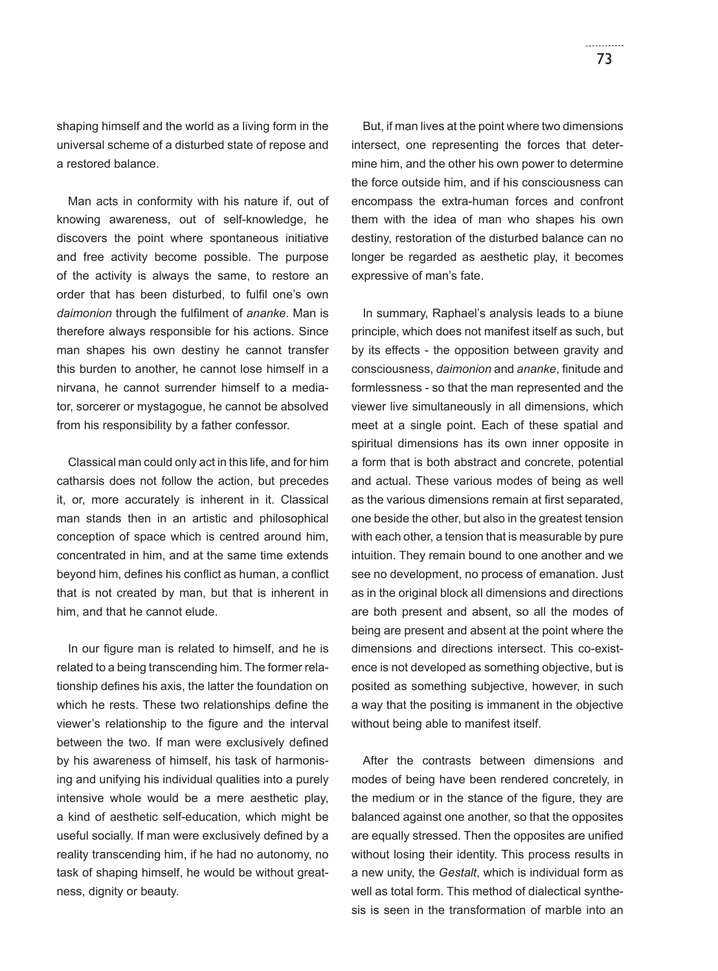shaping himself and the world as a living form in the universal scheme of a disturbed state of repose and a restored balance.

Man acts in conformity with his nature if, out of knowing awareness, out of self-knowledge, he discovers the point where spontaneous initiative and free activity become possible. The purpose of the activity is always the same, to restore an order that has been disturbed, to fulfil one's own *daimonion* through the fulfilment of *ananke*. Man is therefore always responsible for his actions. Since man shapes his own destiny he cannot transfer this burden to another, he cannot lose himself in a nirvana, he cannot surrender himself to a mediator, sorcerer or mystagogue, he cannot be absolved from his responsibility by a father confessor.

Classical man could only act in this life, and for him catharsis does not follow the action, but precedes it, or, more accurately is inherent in it. Classical man stands then in an artistic and philosophical conception of space which is centred around him, concentrated in him, and at the same time extends beyond him, defines his conflict as human, a conflict that is not created by man, but that is inherent in him, and that he cannot elude.

In our figure man is related to himself, and he is related to a being transcending him. The former relationship defines his axis, the latter the foundation on which he rests. These two relationships define the viewer's relationship to the figure and the interval between the two. If man were exclusively defined by his awareness of himself, his task of harmonising and unifying his individual qualities into a purely intensive whole would be a mere aesthetic play, a kind of aesthetic self-education, which might be useful socially. If man were exclusively defined by a reality transcending him, if he had no autonomy, no task of shaping himself, he would be without greatness, dignity or beauty.

But, if man lives at the point where two dimensions intersect, one representing the forces that determine him, and the other his own power to determine the force outside him, and if his consciousness can encompass the extra-human forces and confront them with the idea of man who shapes his own destiny, restoration of the disturbed balance can no longer be regarded as aesthetic play, it becomes expressive of man's fate.

In summary, Raphael's analysis leads to a biune principle, which does not manifest itself as such, but by its effects - the opposition between gravity and consciousness, *daimonion* and *ananke*, finitude and formlessness - so that the man represented and the viewer live simultaneously in all dimensions, which meet at a single point. Each of these spatial and spiritual dimensions has its own inner opposite in a form that is both abstract and concrete, potential and actual. These various modes of being as well as the various dimensions remain at first separated, one beside the other, but also in the greatest tension with each other, a tension that is measurable by pure intuition. They remain bound to one another and we see no development, no process of emanation. Just as in the original block all dimensions and directions are both present and absent, so all the modes of being are present and absent at the point where the dimensions and directions intersect. This co-existence is not developed as something objective, but is posited as something subjective, however, in such a way that the positing is immanent in the objective without being able to manifest itself.

After the contrasts between dimensions and modes of being have been rendered concretely, in the medium or in the stance of the figure, they are balanced against one another, so that the opposites are equally stressed. Then the opposites are unified without losing their identity. This process results in a new unity, the *Gestalt*, which is individual form as well as total form. This method of dialectical synthesis is seen in the transformation of marble into an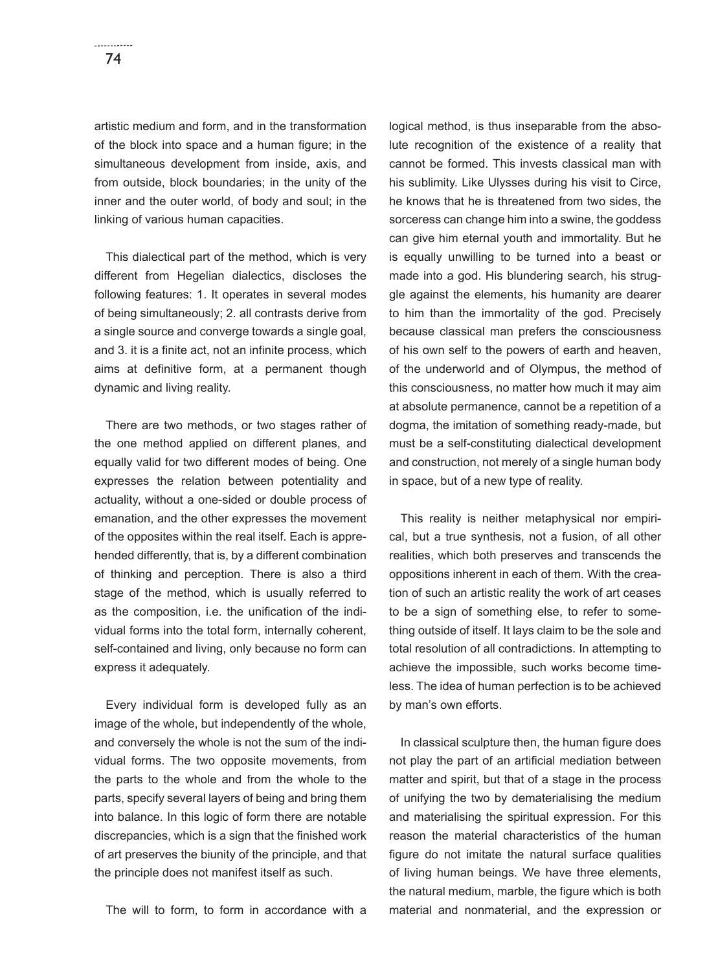artistic medium and form, and in the transformation of the block into space and a human figure; in the simultaneous development from inside, axis, and from outside, block boundaries; in the unity of the inner and the outer world, of body and soul; in the linking of various human capacities.

This dialectical part of the method, which is very different from Hegelian dialectics, discloses the following features: 1. It operates in several modes of being simultaneously; 2. all contrasts derive from a single source and converge towards a single goal, and 3. it is a finite act, not an infinite process, which aims at definitive form, at a permanent though dynamic and living reality.

There are two methods, or two stages rather of the one method applied on different planes, and equally valid for two different modes of being. One expresses the relation between potentiality and actuality, without a one-sided or double process of emanation, and the other expresses the movement of the opposites within the real itself. Each is apprehended differently, that is, by a different combination of thinking and perception. There is also a third stage of the method, which is usually referred to as the composition, i.e. the unification of the individual forms into the total form, internally coherent, self-contained and living, only because no form can express it adequately.

Every individual form is developed fully as an image of the whole, but independently of the whole, and conversely the whole is not the sum of the individual forms. The two opposite movements, from the parts to the whole and from the whole to the parts, specify several layers of being and bring them into balance. In this logic of form there are notable discrepancies, which is a sign that the finished work of art preserves the biunity of the principle, and that the principle does not manifest itself as such.

The will to form, to form in accordance with a

logical method, is thus inseparable from the absolute recognition of the existence of a reality that cannot be formed. This invests classical man with his sublimity. Like Ulysses during his visit to Circe, he knows that he is threatened from two sides, the sorceress can change him into a swine, the goddess can give him eternal youth and immortality. But he is equally unwilling to be turned into a beast or made into a god. His blundering search, his struggle against the elements, his humanity are dearer to him than the immortality of the god. Precisely because classical man prefers the consciousness of his own self to the powers of earth and heaven, of the underworld and of Olympus, the method of this consciousness, no matter how much it may aim at absolute permanence, cannot be a repetition of a dogma, the imitation of something ready-made, but must be a self-constituting dialectical development and construction, not merely of a single human body in space, but of a new type of reality.

This reality is neither metaphysical nor empirical, but a true synthesis, not a fusion, of all other realities, which both preserves and transcends the oppositions inherent in each of them. With the creation of such an artistic reality the work of art ceases to be a sign of something else, to refer to something outside of itself. It lays claim to be the sole and total resolution of all contradictions. In attempting to achieve the impossible, such works become timeless. The idea of human perfection is to be achieved by man's own efforts.

In classical sculpture then, the human figure does not play the part of an artificial mediation between matter and spirit, but that of a stage in the process of unifying the two by dematerialising the medium and materialising the spiritual expression. For this reason the material characteristics of the human figure do not imitate the natural surface qualities of living human beings. We have three elements, the natural medium, marble, the figure which is both material and nonmaterial, and the expression or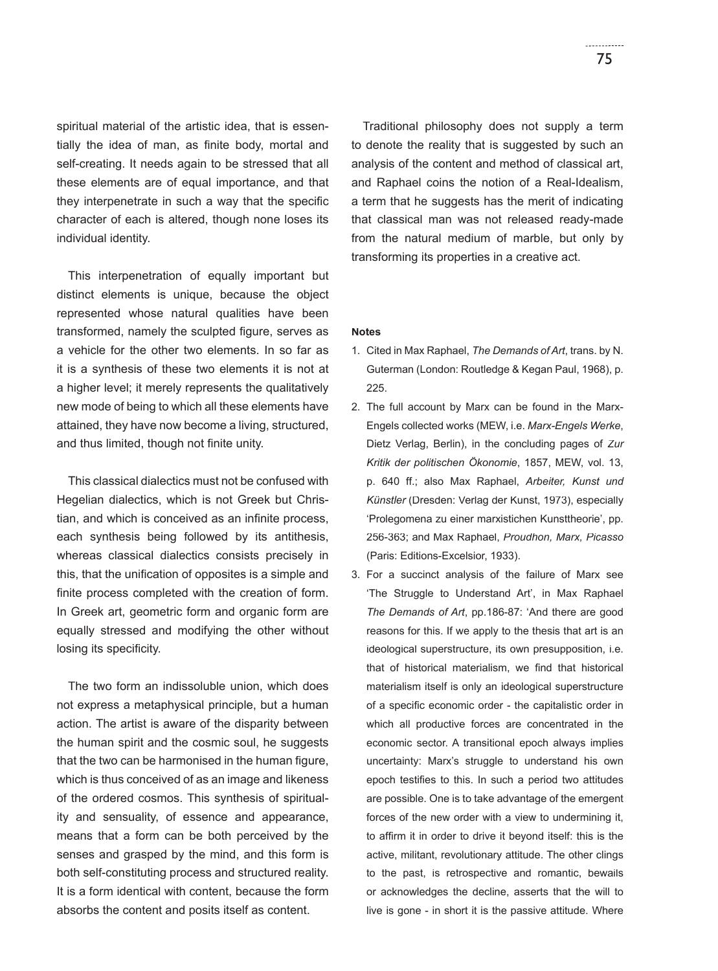spiritual material of the artistic idea, that is essentially the idea of man, as finite body, mortal and self-creating. It needs again to be stressed that all these elements are of equal importance, and that they interpenetrate in such a way that the specific character of each is altered, though none loses its individual identity.

This interpenetration of equally important but distinct elements is unique, because the object represented whose natural qualities have been transformed, namely the sculpted figure, serves as a vehicle for the other two elements. In so far as it is a synthesis of these two elements it is not at a higher level; it merely represents the qualitatively new mode of being to which all these elements have attained, they have now become a living, structured, and thus limited, though not finite unity.

This classical dialectics must not be confused with Hegelian dialectics, which is not Greek but Christian, and which is conceived as an infinite process, each synthesis being followed by its antithesis, whereas classical dialectics consists precisely in this, that the unification of opposites is a simple and finite process completed with the creation of form. In Greek art, geometric form and organic form are equally stressed and modifying the other without losing its specificity.

The two form an indissoluble union, which does not express a metaphysical principle, but a human action. The artist is aware of the disparity between the human spirit and the cosmic soul, he suggests that the two can be harmonised in the human figure, which is thus conceived of as an image and likeness of the ordered cosmos. This synthesis of spirituality and sensuality, of essence and appearance, means that a form can be both perceived by the senses and grasped by the mind, and this form is both self-constituting process and structured reality. It is a form identical with content, because the form absorbs the content and posits itself as content.

Traditional philosophy does not supply a term to denote the reality that is suggested by such an analysis of the content and method of classical art, and Raphael coins the notion of a Real-Idealism, a term that he suggests has the merit of indicating that classical man was not released ready-made from the natural medium of marble, but only by transforming its properties in a creative act.

## **Notes**

- 1. Cited in Max Raphael, *The Demands of Art*, trans. by N. Guterman (London: Routledge & Kegan Paul, 1968), p. 225.
- 2. The full account by Marx can be found in the Marx-Engels collected works (MEW, i.e. *Marx-Engels Werke*, Dietz Verlag, Berlin), in the concluding pages of *Zur Kritik der politischen Ökonomie*, 1857, MEW, vol. 13, p. 640 ff.; also Max Raphael, *Arbeiter, Kunst und Künstler* (Dresden: Verlag der Kunst, 1973), especially 'Prolegomena zu einer marxistichen Kunsttheorie', pp. 256-363; and Max Raphael, *Proudhon, Marx, Picasso* (Paris: Editions-Excelsior, 1933).
- 3. For a succinct analysis of the failure of Marx see 'The Struggle to Understand Art', in Max Raphael *The Demands of Art*, pp.186-87: 'And there are good reasons for this. If we apply to the thesis that art is an ideological superstructure, its own presupposition, i.e. that of historical materialism, we find that historical materialism itself is only an ideological superstructure of a specific economic order - the capitalistic order in which all productive forces are concentrated in the economic sector. A transitional epoch always implies uncertainty: Marx's struggle to understand his own epoch testifies to this. In such a period two attitudes are possible. One is to take advantage of the emergent forces of the new order with a view to undermining it, to affirm it in order to drive it beyond itself: this is the active, militant, revolutionary attitude. The other clings to the past, is retrospective and romantic, bewails or acknowledges the decline, asserts that the will to live is gone - in short it is the passive attitude. Where